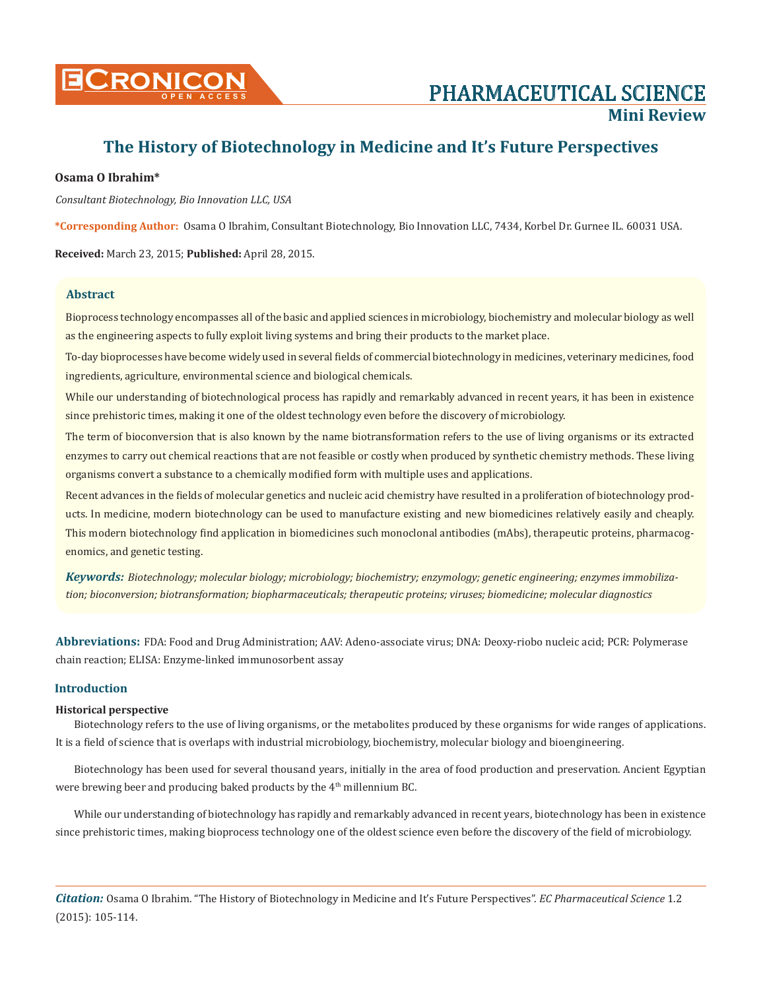

# **The History of Biotechnology in Medicine and It's Future Perspectives**

# **Osama O Ibrahim\***

*Consultant Biotechnology, Bio Innovation LLC, USA*

**\*Corresponding Author:** Osama O Ibrahim, Consultant Biotechnology, Bio Innovation LLC, 7434, Korbel Dr. Gurnee IL. 60031 USA.

**Received:** March 23, 2015; **Published:** April 28, 2015.

## **Abstract**

Bioprocess technology encompasses all of the basic and applied sciences in microbiology, biochemistry and molecular biology as well as the engineering aspects to fully exploit living systems and bring their products to the market place.

To-day bioprocesses have become widely used in several fields of commercial biotechnology in medicines, veterinary medicines, food ingredients, agriculture, environmental science and biological chemicals.

While our understanding of biotechnological process has rapidly and remarkably advanced in recent years, it has been in existence since prehistoric times, making it one of the oldest technology even before the discovery of microbiology.

The term of bioconversion that is also known by the name biotransformation refers to the use of living organisms or its extracted enzymes to carry out chemical reactions that are not feasible or costly when produced by synthetic chemistry methods. These living organisms convert a substance to a chemically modified form with multiple uses and applications.

Recent advances in the fields of molecular genetics and nucleic acid chemistry have resulted in a proliferation of biotechnology products. In medicine, modern biotechnology can be used to manufacture existing and new biomedicines relatively easily and cheaply. This modern biotechnology find application in biomedicines such monoclonal antibodies (mAbs), therapeutic proteins, pharmacogenomics, and genetic testing.

*Keywords: Biotechnology; molecular biology; microbiology; biochemistry; enzymology; genetic engineering; enzymes immobilization; bioconversion; biotransformation; biopharmaceuticals; therapeutic proteins; viruses; biomedicine; molecular diagnostics*

**Abbreviations:** FDA: Food and Drug Administration; AAV: Adeno-associate virus; DNA: Deoxy-riobo nucleic acid; PCR: Polymerase chain reaction; ELISA: Enzyme-linked immunosorbent assay

## **Introduction**

#### **Historical perspective**

Biotechnology refers to the use of living organisms, or the metabolites produced by these organisms for wide ranges of applications. It is a field of science that is overlaps with industrial microbiology, biochemistry, molecular biology and bioengineering.

Biotechnology has been used for several thousand years, initially in the area of food production and preservation. Ancient Egyptian were brewing beer and producing baked products by the  $4<sup>th</sup>$  millennium BC.

While our understanding of biotechnology has rapidly and remarkably advanced in recent years, biotechnology has been in existence since prehistoric times, making bioprocess technology one of the oldest science even before the discovery of the field of microbiology.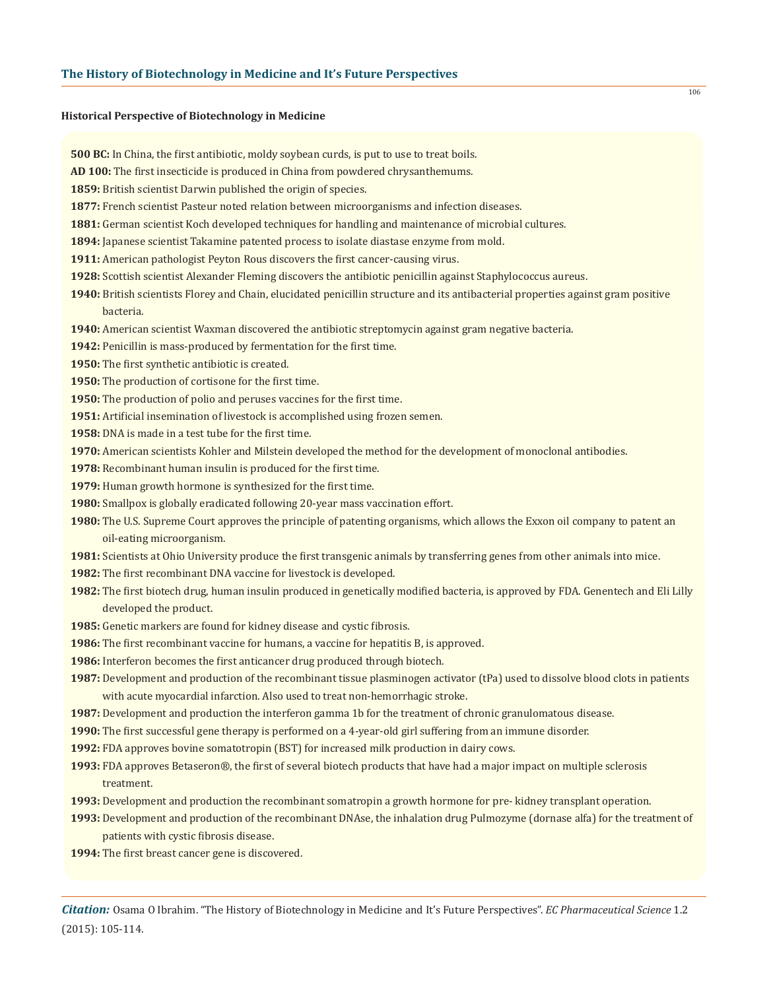#### **Historical Perspective of Biotechnology in Medicine**

**500 BC:** In China, the first antibiotic, moldy soybean curds, is put to use to treat boils.

**AD 100:** The first insecticide is produced in China from powdered chrysanthemums.

**1859:** British scientist Darwin published the origin of species.

- **1877:** French scientist Pasteur noted relation between microorganisms and infection diseases.
- **1881:** German scientist Koch developed techniques for handling and maintenance of microbial cultures.
- **1894:** Japanese scientist Takamine patented process to isolate diastase enzyme from mold.
- **1911:** American pathologist Peyton Rous discovers the first cancer-causing virus.
- **1928:** Scottish scientist Alexander Fleming discovers the antibiotic penicillin against Staphylococcus aureus.
- **1940:** British scientists Florey and Chain, elucidated penicillin structure and its antibacterial properties against gram positive bacteria.
- **1940:** American scientist Waxman discovered the antibiotic streptomycin against gram negative bacteria.
- **1942:** Penicillin is mass-produced by fermentation for the first time.
- **1950:** The first synthetic antibiotic is created.
- **1950:** The production of cortisone for the first time.
- **1950:** The production of polio and peruses vaccines for the first time.
- **1951:** Artificial insemination of livestock is accomplished using frozen semen.
- **1958:** DNA is made in a test tube for the first time.
- **1970:** American scientists Kohler and Milstein developed the method for the development of monoclonal antibodies.
- **1978:** Recombinant human insulin is produced for the first time.
- **1979:** Human growth hormone is synthesized for the first time.
- **1980:** Smallpox is globally eradicated following 20-year mass vaccination effort.
- **1980:** The U.S. Supreme Court approves the principle of patenting organisms, which allows the Exxon oil company to patent an oil-eating microorganism.
- **1981:** Scientists at Ohio University produce the first transgenic animals by transferring genes from other animals into mice.
- **1982:** The first recombinant DNA vaccine for livestock is developed.
- **1982:** The first biotech drug, human insulin produced in genetically modified bacteria, is approved by FDA. Genentech and Eli Lilly developed the product.
- **1985:** Genetic markers are found for kidney disease and cystic fibrosis.
- **1986:** The first recombinant vaccine for humans, a vaccine for hepatitis B, is approved.
- **1986:** Interferon becomes the first anticancer drug produced through biotech.
- **1987:** Development and production of the recombinant tissue plasminogen activator (tPa) used to dissolve blood clots in patients with acute myocardial infarction. Also used to treat non-hemorrhagic stroke.
- **1987:** Development and production the interferon gamma 1b for the treatment of chronic granulomatous disease.
- **1990:** The first successful gene therapy is performed on a 4-year-old girl suffering from an immune disorder.
- **1992:** FDA approves bovine somatotropin (BST) for increased milk production in dairy cows.
- **1993:** FDA approves Betaseron®, the first of several biotech products that have had a major impact on multiple sclerosis treatment.
- **1993:** Development and production the recombinant somatropin a growth hormone for pre- kidney transplant operation.
- **1993:** Development and production of the recombinant DNAse, the inhalation drug Pulmozyme (dornase alfa) for the treatment of patients with cystic fibrosis disease.
- **1994:** The first breast cancer gene is discovered.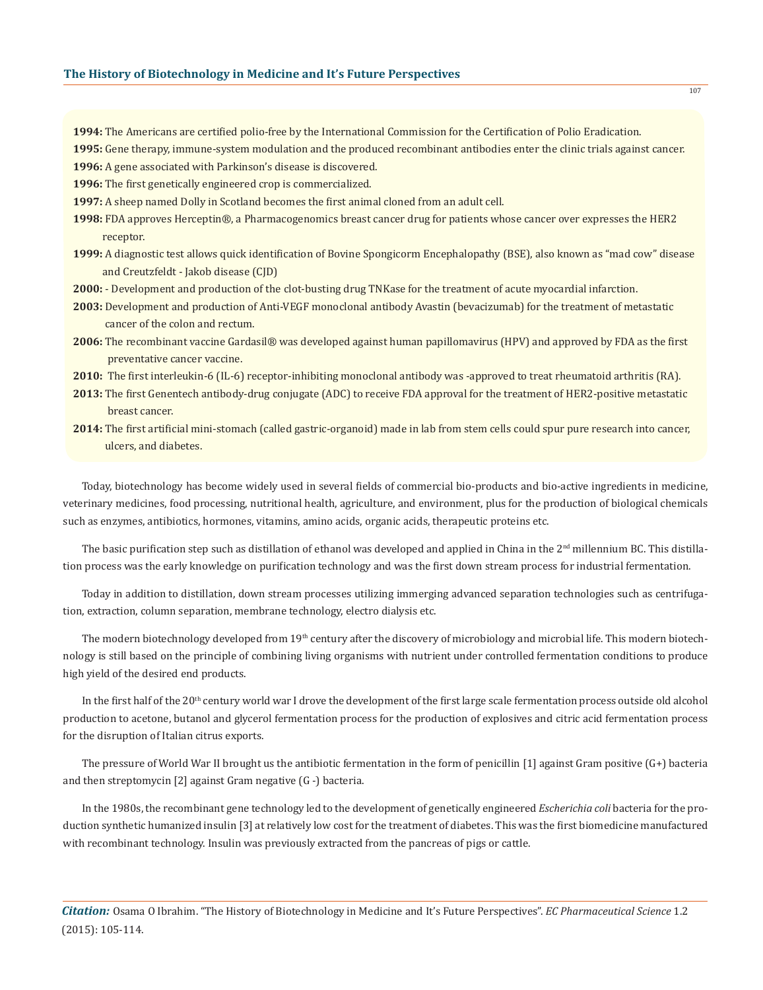- **1994:** The Americans are certified polio-free by the International Commission for the Certification of Polio Eradication.
- **1995:** Gene therapy, immune-system modulation and the produced recombinant antibodies enter the clinic trials against cancer.
- **1996:** A gene associated with Parkinson's disease is discovered.
- **1996:** The first genetically engineered crop is commercialized.
- **1997:** A sheep named Dolly in Scotland becomes the first animal cloned from an adult cell.
- **1998:** FDA approves Herceptin®, a Pharmacogenomics breast cancer drug for patients whose cancer over expresses the HER2 receptor.
- **1999:** A diagnostic test allows quick identification of Bovine Spongicorm Encephalopathy (BSE), also known as "mad cow" disease and Creutzfeldt - Jakob disease (CJD)
- **2000:**  Development and production of the clot-busting drug TNKase for the treatment of acute myocardial infarction.
- **2003:** Development and production of Anti-VEGF monoclonal antibody Avastin (bevacizumab) for the treatment of metastatic cancer of the colon and rectum.
- **2006:** The recombinant vaccine Gardasil® was developed against human papillomavirus (HPV) and approved by FDA as the first preventative cancer vaccine.
- **2010:** The first interleukin-6 (IL-6) receptor-inhibiting monoclonal antibody was -approved to treat rheumatoid arthritis (RA).
- **2013:** The first Genentech antibody-drug conjugate (ADC) to receive FDA approval for the treatment of HER2-positive metastatic breast cancer.
- **2014:** The first artificial mini-stomach (called gastric-organoid) made in lab from stem cells could spur pure research into cancer, ulcers, and diabetes.

Today, biotechnology has become widely used in several fields of commercial bio-products and bio-active ingredients in medicine, veterinary medicines, food processing, nutritional health, agriculture, and environment, plus for the production of biological chemicals such as enzymes, antibiotics, hormones, vitamins, amino acids, organic acids, therapeutic proteins etc.

The basic purification step such as distillation of ethanol was developed and applied in China in the  $2<sup>nd</sup>$  millennium BC. This distillation process was the early knowledge on purification technology and was the first down stream process for industrial fermentation.

Today in addition to distillation, down stream processes utilizing immerging advanced separation technologies such as centrifugation, extraction, column separation, membrane technology, electro dialysis etc.

The modern biotechnology developed from 19<sup>th</sup> century after the discovery of microbiology and microbial life. This modern biotechnology is still based on the principle of combining living organisms with nutrient under controlled fermentation conditions to produce high yield of the desired end products.

In the first half of the  $20<sup>th</sup>$  century world war I drove the development of the first large scale fermentation process outside old alcohol production to acetone, butanol and glycerol fermentation process for the production of explosives and citric acid fermentation process for the disruption of Italian citrus exports.

The pressure of World War II brought us the antibiotic fermentation in the form of penicillin [1] against Gram positive (G+) bacteria and then streptomycin [2] against Gram negative (G -) bacteria.

In the 1980s, the recombinant gene technology led to the development of genetically engineered *Escherichia coli* bacteria for the production synthetic humanized insulin [3] at relatively low cost for the treatment of diabetes. This was the first biomedicine manufactured with recombinant technology. Insulin was previously extracted from the pancreas of pigs or cattle.

*Citation:* Osama O Ibrahim. "The History of Biotechnology in Medicine and It's Future Perspectives". *EC Pharmaceutical Science* 1.2 (2015): 105-114.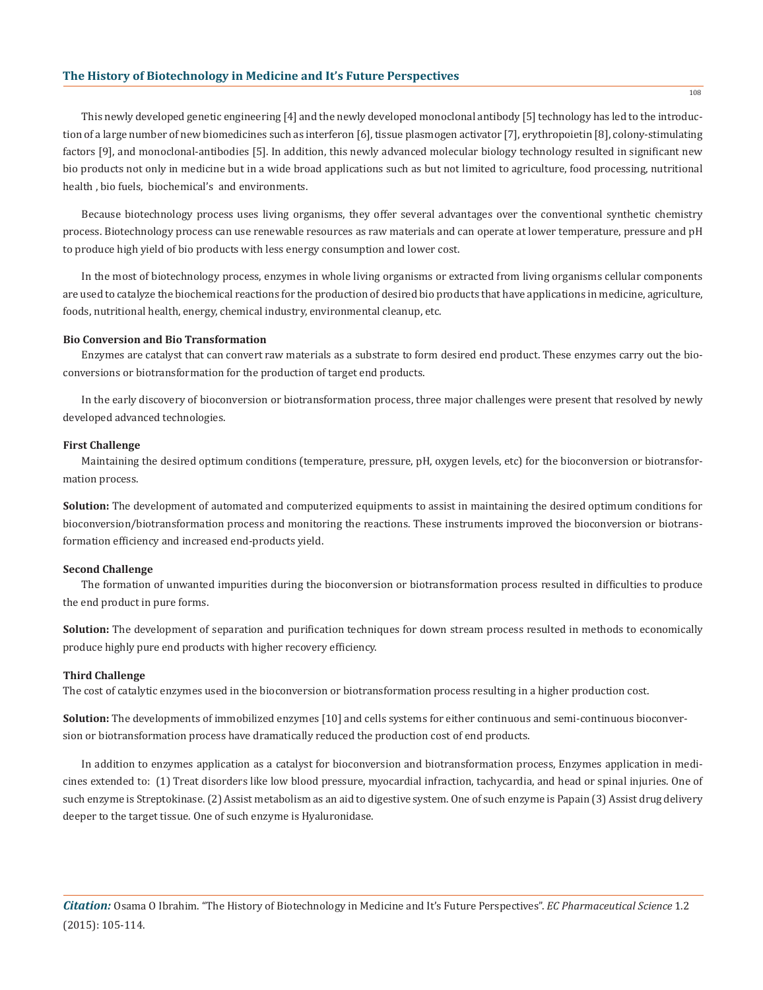## **The History of Biotechnology in Medicine and It's Future Perspectives**

This newly developed genetic engineering [4] and the newly developed monoclonal antibody [5] technology has led to the introduction of a large number of new biomedicines such as interferon [6], tissue plasmogen activator [7], erythropoietin [8], colony-stimulating factors [9], and monoclonal-antibodies [5]. In addition, this newly advanced molecular biology technology resulted in significant new bio products not only in medicine but in a wide broad applications such as but not limited to agriculture, food processing, nutritional health , bio fuels, biochemical's and environments.

Because biotechnology process uses living organisms, they offer several advantages over the conventional synthetic chemistry process. Biotechnology process can use renewable resources as raw materials and can operate at lower temperature, pressure and pH to produce high yield of bio products with less energy consumption and lower cost.

In the most of biotechnology process, enzymes in whole living organisms or extracted from living organisms cellular components are used to catalyze the biochemical reactions for the production of desired bio products that have applications in medicine, agriculture, foods, nutritional health, energy, chemical industry, environmental cleanup, etc.

#### **Bio Conversion and Bio Transformation**

Enzymes are catalyst that can convert raw materials as a substrate to form desired end product. These enzymes carry out the bioconversions or biotransformation for the production of target end products.

In the early discovery of bioconversion or biotransformation process, three major challenges were present that resolved by newly developed advanced technologies.

#### **First Challenge**

Maintaining the desired optimum conditions (temperature, pressure, pH, oxygen levels, etc) for the bioconversion or biotransformation process.

**Solution:** The development of automated and computerized equipments to assist in maintaining the desired optimum conditions for bioconversion/biotransformation process and monitoring the reactions. These instruments improved the bioconversion or biotransformation efficiency and increased end-products yield.

# **Second Challenge**

The formation of unwanted impurities during the bioconversion or biotransformation process resulted in difficulties to produce the end product in pure forms.

**Solution:** The development of separation and purification techniques for down stream process resulted in methods to economically produce highly pure end products with higher recovery efficiency.

#### **Third Challenge**

The cost of catalytic enzymes used in the bioconversion or biotransformation process resulting in a higher production cost.

**Solution:** The developments of immobilized enzymes [10] and cells systems for either continuous and semi-continuous bioconversion or biotransformation process have dramatically reduced the production cost of end products.

In addition to enzymes application as a catalyst for bioconversion and biotransformation process, Enzymes application in medicines extended to: (1) Treat disorders like low blood pressure, myocardial infraction, tachycardia, and head or spinal injuries. One of such enzyme is Streptokinase. (2) Assist metabolism as an aid to digestive system. One of such enzyme is Papain (3) Assist drug delivery deeper to the target tissue. One of such enzyme is Hyaluronidase.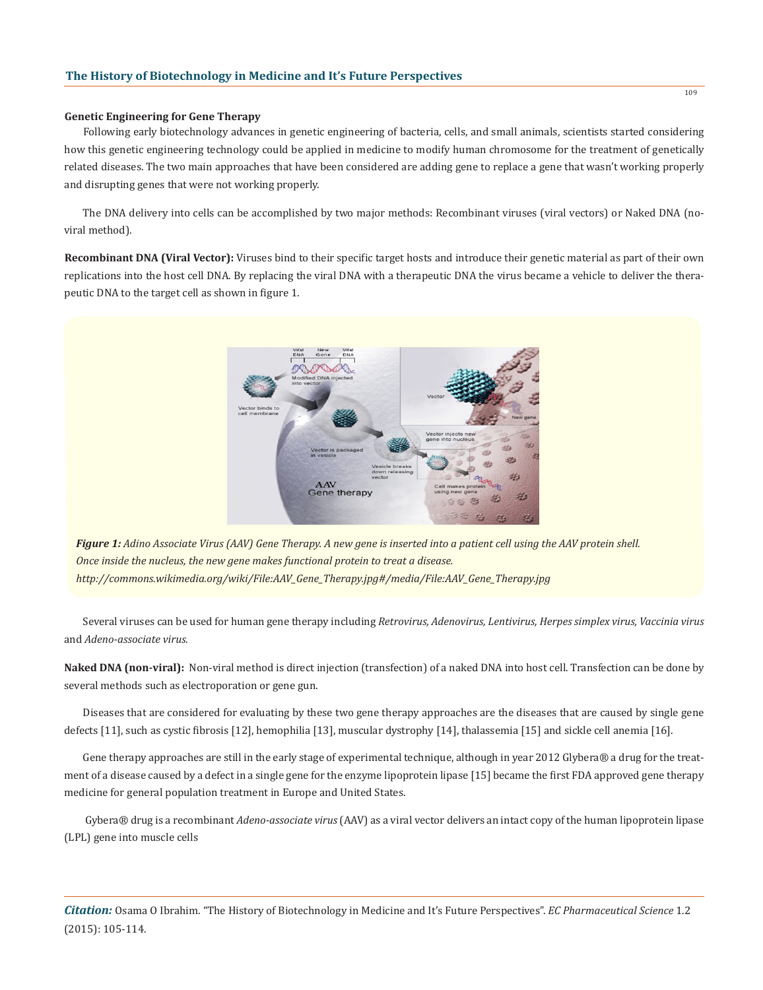#### **Genetic Engineering for Gene Therapy**

Following early biotechnology advances in genetic engineering of bacteria, cells, and small animals, scientists started considering how this genetic engineering technology could be applied in medicine to modify human chromosome for the treatment of genetically related diseases. The two main approaches that have been considered are adding gene to replace a gene that wasn't working properly and disrupting genes that were not working properly.

The DNA delivery into cells can be accomplished by two major methods: Recombinant viruses (viral vectors) or Naked DNA (noviral method).

**Recombinant DNA (Viral Vector):** Viruses bind to their specific target hosts and introduce their genetic material as part of their own replications into the host cell DNA. By replacing the viral DNA with a therapeutic DNA the virus became a vehicle to deliver the therapeutic DNA to the target cell as shown in figure 1.



*Figure 1: Adino Associate Virus (AAV) Gene Therapy. A new gene is inserted into a patient cell using the AAV protein shell. Once inside the nucleus, the new gene makes functional protein to treat a disease. http://commons.wikimedia.org/wiki/File:AAV\_Gene\_Therapy.jpg#/media/File:AAV\_Gene\_Therapy.jpg*

Several viruses can be used for human gene therapy including *Retrovirus, Adenovirus, Lentivirus, Herpes simplex virus, Vaccinia virus* and *Adeno-associate virus.*

**Naked DNA (non-viral):** Non-viral method is direct injection (transfection) of a naked DNA into host cell. Transfection can be done by several methods such as electroporation or gene gun.

Diseases that are considered for evaluating by these two gene therapy approaches are the diseases that are caused by single gene defects [11], such as cystic fibrosis [12], hemophilia [13], muscular dystrophy [14], thalassemia [15] and sickle cell anemia [16].

Gene therapy approaches are still in the early stage of experimental technique, although in year 2012 Glybera® a drug for the treatment of a disease caused by a defect in a single gene for the enzyme lipoprotein lipase [15] became the first FDA approved gene therapy medicine for general population treatment in Europe and United States.

 Gybera® drug is a recombinant *Adeno-associate virus* (AAV) as a viral vector delivers an intact copy of the human lipoprotein lipase (LPL) gene into muscle cells

*Citation:* Osama O Ibrahim. "The History of Biotechnology in Medicine and It's Future Perspectives". *EC Pharmaceutical Science* 1.2 (2015): 105-114.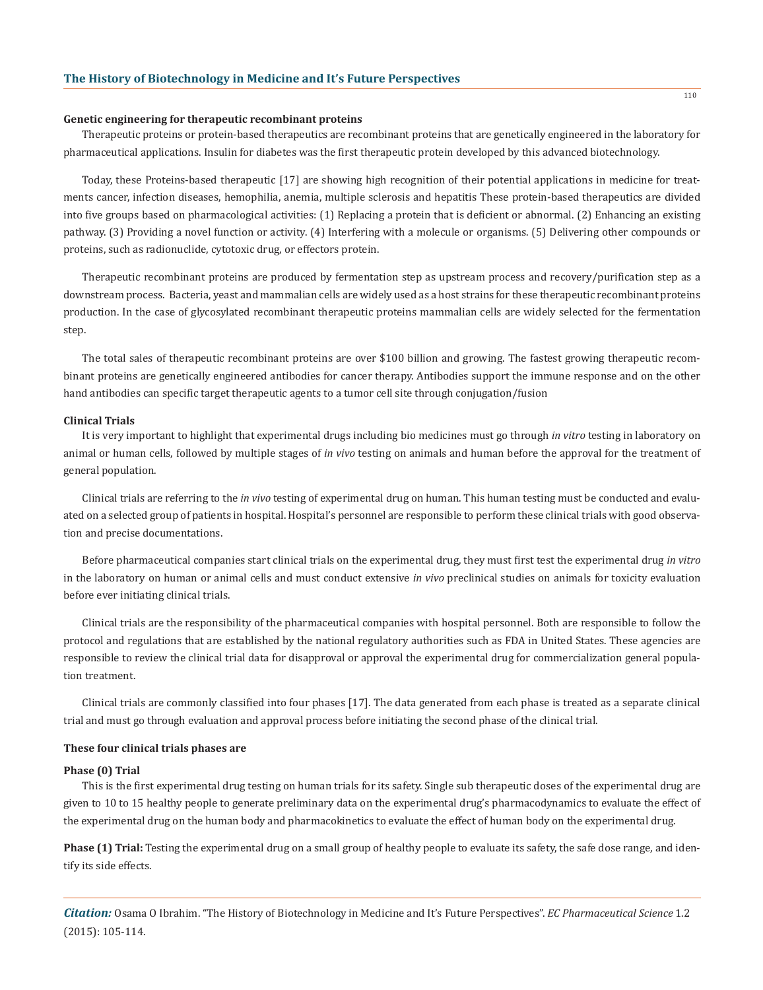#### **Genetic engineering for therapeutic recombinant proteins**

Therapeutic proteins or protein-based therapeutics are recombinant proteins that are genetically engineered in the laboratory for pharmaceutical applications. Insulin for diabetes was the first therapeutic protein developed by this advanced biotechnology.

Today, these Proteins-based therapeutic [17] are showing high recognition of their potential applications in medicine for treatments cancer, infection diseases, hemophilia, anemia, multiple sclerosis and hepatitis These protein-based therapeutics are divided into five groups based on pharmacological activities: (1) Replacing a protein that is deficient or abnormal. (2) Enhancing an existing pathway. (3) Providing a novel function or activity. (4) Interfering with a molecule or organisms. (5) Delivering other compounds or proteins, such as radionuclide, cytotoxic drug, or effectors protein.

Therapeutic recombinant proteins are produced by fermentation step as upstream process and recovery/purification step as a downstream process. Bacteria, yeast and mammalian cells are widely used as a host strains for these therapeutic recombinant proteins production. In the case of glycosylated recombinant therapeutic proteins mammalian cells are widely selected for the fermentation step.

The total sales of therapeutic recombinant proteins are over \$100 billion and growing. The fastest growing therapeutic recombinant proteins are genetically engineered antibodies for cancer therapy. Antibodies support the immune response and on the other hand antibodies can specific target therapeutic agents to a tumor cell site through conjugation/fusion

#### **Clinical Trials**

It is very important to highlight that experimental drugs including bio medicines must go through *in vitro* testing in laboratory on animal or human cells, followed by multiple stages of *in vivo* testing on animals and human before the approval for the treatment of general population.

Clinical trials are referring to the *in vivo* testing of experimental drug on human. This human testing must be conducted and evaluated on a selected group of patients in hospital. Hospital's personnel are responsible to perform these clinical trials with good observation and precise documentations.

Before pharmaceutical companies start clinical trials on the experimental drug, they must first test the experimental drug *in vitro*  in the laboratory on human or animal cells and must conduct extensive *in vivo* preclinical studies on animals for toxicity evaluation before ever initiating clinical trials.

Clinical trials are the responsibility of the pharmaceutical companies with hospital personnel. Both are responsible to follow the protocol and regulations that are established by the national regulatory authorities such as FDA in United States. These agencies are responsible to review the clinical trial data for disapproval or approval the experimental drug for commercialization general population treatment.

Clinical trials are commonly classified into four phases [17]. The data generated from each phase is treated as a separate clinical trial and must go through evaluation and approval process before initiating the second phase of the clinical trial.

#### **These four clinical trials phases are**

#### **Phase (0) Trial**

This is the first experimental drug testing on human trials for its safety. Single sub therapeutic doses of the experimental drug are given to 10 to 15 healthy people to generate preliminary data on the experimental drug's pharmacodynamics to evaluate the effect of the experimental drug on the human body and pharmacokinetics to evaluate the effect of human body on the experimental drug.

Phase (1) Trial: Testing the experimental drug on a small group of healthy people to evaluate its safety, the safe dose range, and identify its side effects.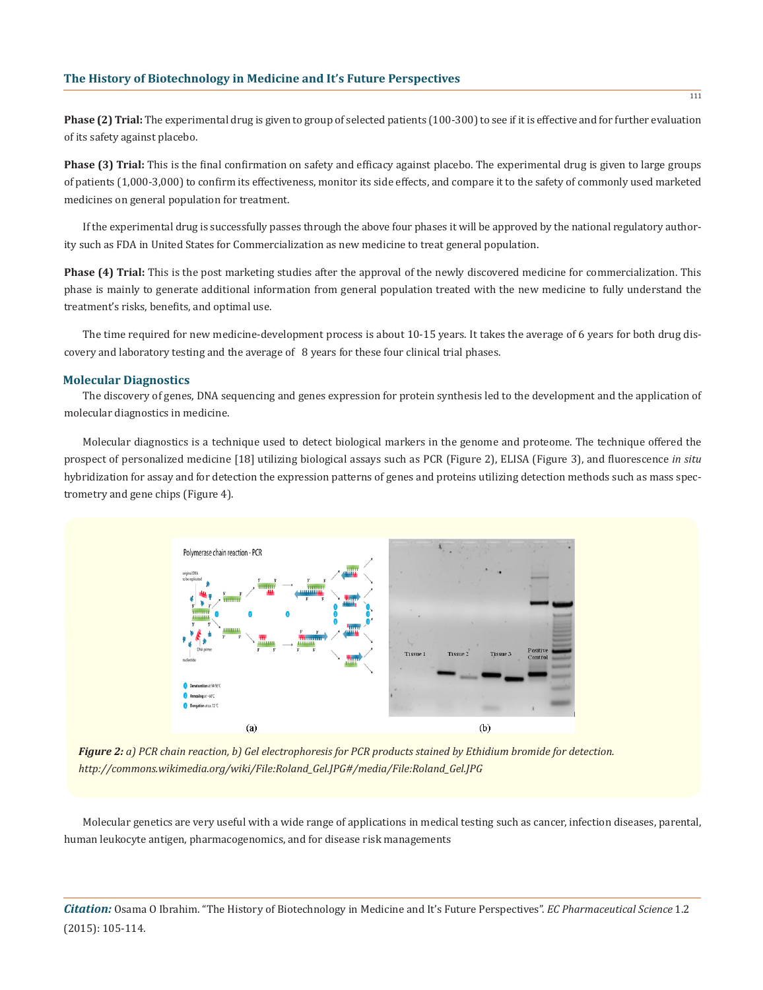**Phase (2) Trial:** The experimental drug is given to group of selected patients (100-300) to see if it is effective and for further evaluation of its safety against placebo.

**Phase (3) Trial:** This is the final confirmation on safety and efficacy against placebo. The experimental drug is given to large groups of patients (1,000-3,000) to confirm its effectiveness, monitor its side effects, and compare it to the safety of commonly used marketed medicines on general population for treatment.

If the experimental drug is successfully passes through the above four phases it will be approved by the national regulatory authority such as FDA in United States for Commercialization as new medicine to treat general population.

**Phase (4) Trial:** This is the post marketing studies after the approval of the newly discovered medicine for commercialization. This phase is mainly to generate additional information from general population treated with the new medicine to fully understand the treatment's risks, benefits, and optimal use.

The time required for new medicine-development process is about 10-15 years. It takes the average of 6 years for both drug discovery and laboratory testing and the average of 8 years for these four clinical trial phases.

#### **Molecular Diagnostics**

The discovery of genes, DNA sequencing and genes expression for protein synthesis led to the development and the application of molecular diagnostics in medicine.

Molecular diagnostics is a technique used to detect biological markers in the genome and proteome. The technique offered the prospect of personalized medicine [18] utilizing biological assays such as PCR (Figure 2), ELISA (Figure 3), and fluorescence *in situ* hybridization for assay and for detection the expression patterns of genes and proteins utilizing detection methods such as mass spectrometry and gene chips (Figure 4).



*Figure 2: a) PCR chain reaction, b) Gel electrophoresis for PCR products stained by Ethidium bromide for detection. http://commons.wikimedia.org/wiki/File:Roland\_Gel.JPG#/media/File:Roland\_Gel.JPG*

Molecular genetics are very useful with a wide range of applications in medical testing such as cancer, infection diseases, parental, human leukocyte antigen, pharmacogenomics, and for disease risk managements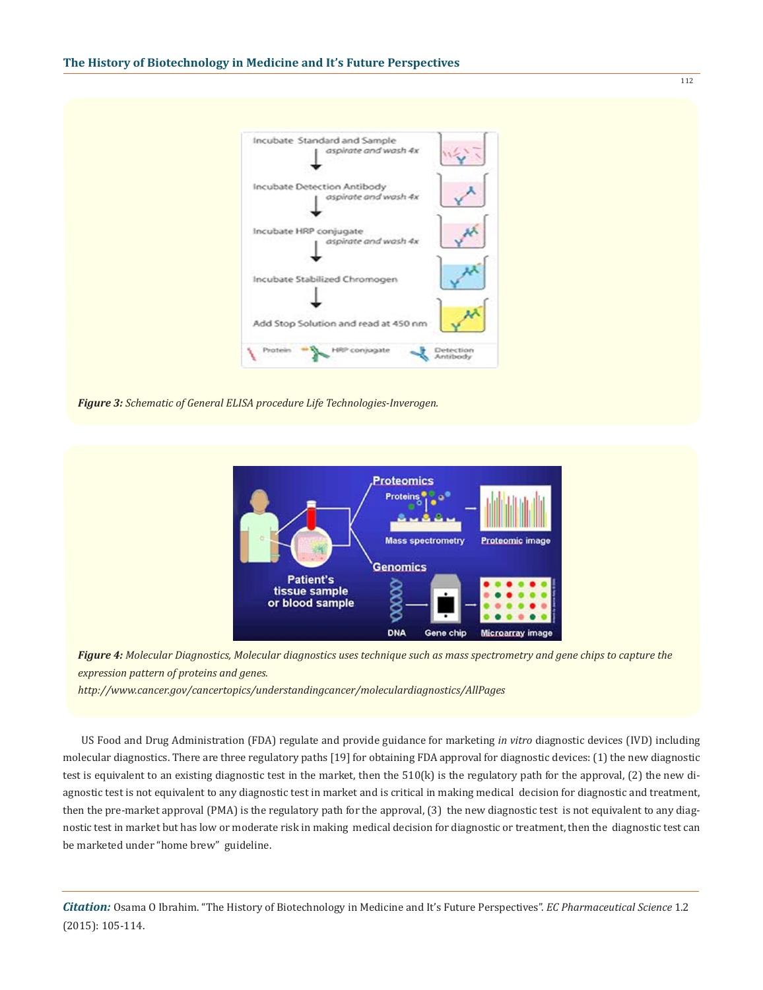



*Figure 4: Molecular Diagnostics, Molecular diagnostics uses technique such as mass spectrometry and gene chips to capture the expression pattern of proteins and genes.*

*http://www.cancer.gov/cancertopics/understandingcancer/moleculardiagnostics/AllPages*

US Food and Drug Administration (FDA) regulate and provide guidance for marketing *in vitro* diagnostic devices (IVD) including molecular diagnostics. There are three regulatory paths [19] for obtaining FDA approval for diagnostic devices: (1) the new diagnostic test is equivalent to an existing diagnostic test in the market, then the  $510(k)$  is the regulatory path for the approval, (2) the new diagnostic test is not equivalent to any diagnostic test in market and is critical in making medical decision for diagnostic and treatment, then the pre-market approval (PMA) is the regulatory path for the approval, (3) the new diagnostic test is not equivalent to any diagnostic test in market but has low or moderate risk in making medical decision for diagnostic or treatment, then the diagnostic test can be marketed under "home brew" guideline.

*Citation:* Osama O Ibrahim. "The History of Biotechnology in Medicine and It's Future Perspectives". *EC Pharmaceutical Science* 1.2 (2015): 105-114.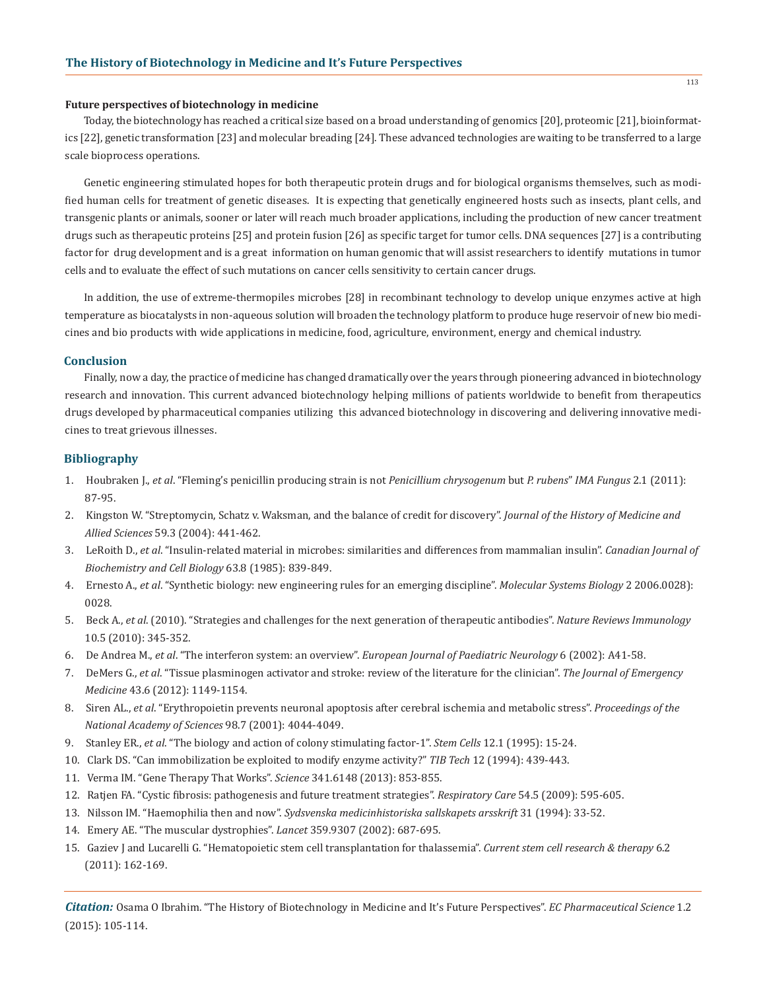#### **Future perspectives of biotechnology in medicine**

Today, the biotechnology has reached a critical size based on a broad understanding of genomics [20], proteomic [21], bioinformatics [22], genetic transformation [23] and molecular breading [24]. These advanced technologies are waiting to be transferred to a large scale bioprocess operations.

Genetic engineering stimulated hopes for both therapeutic protein drugs and for biological organisms themselves, such as modified human cells for treatment of genetic diseases. It is expecting that genetically engineered hosts such as insects, plant cells, and transgenic plants or animals, sooner or later will reach much broader applications, including the production of new cancer treatment drugs such as therapeutic proteins [25] and protein fusion [26] as specific target for tumor cells. DNA sequences [27] is a contributing factor for drug development and is a great information on human genomic that will assist researchers to identify mutations in tumor cells and to evaluate the effect of such mutations on cancer cells sensitivity to certain cancer drugs.

In addition, the use of extreme-thermopiles microbes [28] in recombinant technology to develop unique enzymes active at high temperature as biocatalysts in non-aqueous solution will broaden the technology platform to produce huge reservoir of new bio medicines and bio products with wide applications in medicine, food, agriculture, environment, energy and chemical industry.

#### **Conclusion**

Finally, now a day, the practice of medicine has changed dramatically over the years through pioneering advanced in biotechnology research and innovation. This current advanced biotechnology helping millions of patients worldwide to benefit from therapeutics drugs developed by pharmaceutical companies utilizing this advanced biotechnology in discovering and delivering innovative medicines to treat grievous illnesses.

## **Bibliography**

- 1. Houbraken J., *et al*. "Fleming's penicillin producing strain is not *Penicillium chrysogenum* but *P. rubens*" *IMA Fungus* 2.1 (2011): 87-95.
- 2. Kingston W. "Streptomycin, Schatz v. Waksman, and the balance of credit for discovery". *Journal of the History of Medicine and Allied Sciences* 59.3 (2004): 441-462.
- 3. LeRoith D., *et al*. "Insulin-related material in microbes: similarities and differences from mammalian insulin". *Canadian Journal of Biochemistry and Cell Biology* 63.8 (1985): 839-849.
- 4. Ernesto A., *et al*. "Synthetic biology: new engineering rules for an emerging discipline". *Molecular Systems Biology* 2 2006.0028): 0028.
- 5. Beck A., *et al*. (2010). "Strategies and challenges for the next generation of therapeutic antibodies". *Nature Reviews Immunology* 10.5 (2010): 345-352.
- 6. De Andrea M., *et al*. "The interferon system: an overview". *European Journal of Paediatric Neurology* 6 (2002): A41-58.
- 7. DeMers G., *et al*. "Tissue plasminogen activator and stroke: review of the literature for the clinician". *The Journal of Emergency Medicine* 43.6 (2012): 1149-1154.
- 8. Siren AL., *et al*. "Erythropoietin prevents neuronal apoptosis after cerebral ischemia and metabolic stress". *Proceedings of the National Academy of Sciences* 98.7 (2001): 4044-4049.
- 9. Stanley ER., *et al*. "The biology and action of colony stimulating factor-1". *Stem Cells* 12.1 (1995): 15-24.
- 10. Clark DS. "Can immobilization be exploited to modify enzyme activity?" *TIB Tech* 12 (1994): 439-443.
- 11. Verma IM. "Gene Therapy That Works". *Science* 341.6148 (2013): 853-855.
- 12. Ratjen FA. "Cystic fibrosis: pathogenesis and future treatment strategies". *Respiratory Care* 54.5 (2009): 595-605.
- 13. Nilsson IM. "Haemophilia then and now". *Sydsvenska medicinhistoriska sallskapets arsskrift* 31 (1994): 33-52.
- 14. Emery AE. "The muscular dystrophies". *Lancet* 359.9307 (2002): 687-695.
- 15. Gaziev J and Lucarelli G. "Hematopoietic stem cell transplantation for thalassemia". *Current stem cell research & therapy* 6.2 (2011): 162-169.